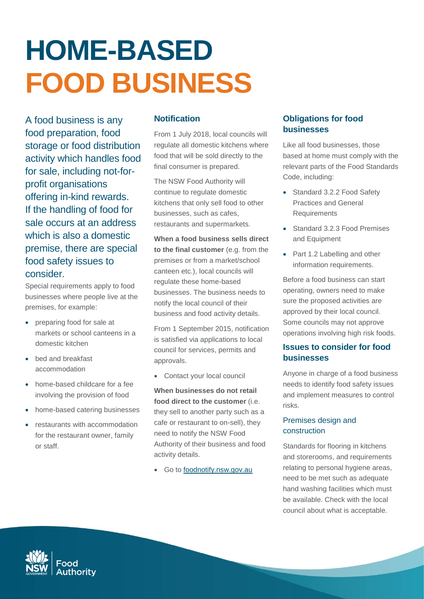# **HOME-BASED FOOD BUSINESS**

A food business is any food preparation, food storage or food distribution activity which handles food for sale, including not-forprofit organisations offering in-kind rewards. If the handling of food for sale occurs at an address which is also a domestic premise, there are special food safety issues to consider.

Special requirements apply to food businesses where people live at the premises, for example:

- preparing food for sale at markets or school canteens in a domestic kitchen
- bed and breakfast accommodation
- home-based childcare for a fee involving the provision of food
- home-based catering businesses
- restaurants with accommodation for the restaurant owner, family or staff.

## **Notification**

From 1 July 2018, local councils will regulate all domestic kitchens where food that will be sold directly to the final consumer is prepared.

The NSW Food Authority will continue to regulate domestic kitchens that only sell food to other businesses, such as cafes, restaurants and supermarkets.

**When a food business sells direct to the final customer** (e.g. from the premises or from a market/school canteen etc.), local councils will regulate these home-based businesses. The business needs to notify the local council of their business and food activity details.

From 1 September 2015, notification is satisfied via applications to local council for services, permits and approvals.

• Contact your local council

**When businesses do not retail food direct to the customer** (i.e. they sell to another party such as a cafe or restaurant to on-sell), they need to notify the NSW Food Authority of their business and food activity details.

• Go to [foodnotify.nsw.gov.au](http://www.foodnotify.nsw.gov.au/)

# **Obligations for food businesses**

Like all food businesses, those based at home must comply with the relevant parts of the Food Standards Code, including:

- Standard 3.2.2 Food Safety Practices and General Requirements
- Standard 3.2.3 Food Premises and Equipment
- Part 1.2 Labelling and other information requirements.

Before a food business can start operating, owners need to make sure the proposed activities are approved by their local council. Some councils may not approve operations involving high risk foods.

# **Issues to consider for food businesses**

Anyone in charge of a food business needs to identify food safety issues and implement measures to control risks.

## Premises design and construction

Standards for flooring in kitchens and storerooms, and requirements relating to personal hygiene areas, need to be met such as adequate hand washing facilities which must be available. Check with the local council about what is acceptable.